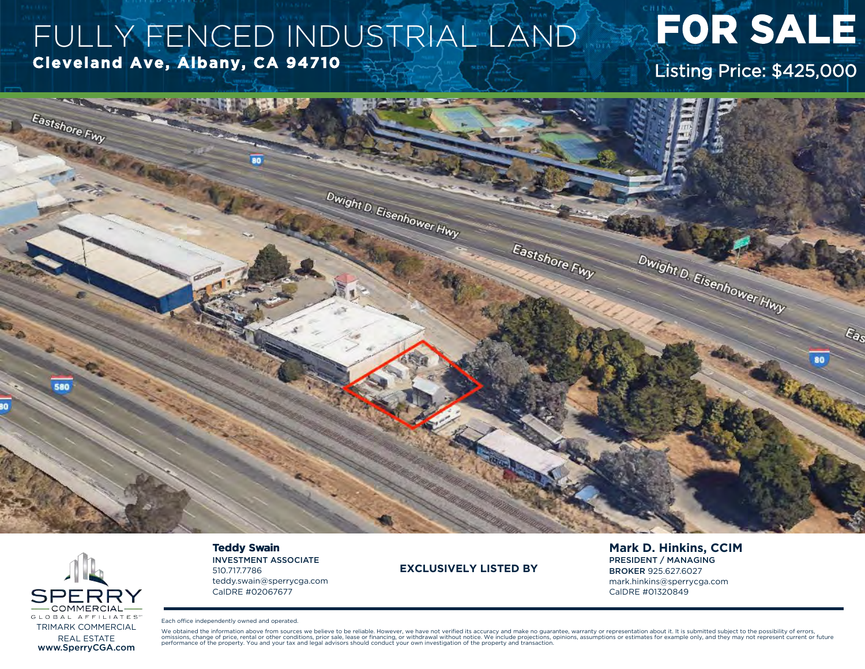## FULLY FENCED INDUSTRIAL LAND Cleveland Ave, Albany, CA 94710

# **FOR SALE**

Listing Price: \$425,000





### **Teddy Swain**

**INVESTMENT ASSOCIATE** 510.717.7786 teddy.swain@sperrycga.com CalDRE #02067677

### **EXCLUSIVELY LISTED BY**

**Mark D. Hinkins, CCIM PRESIDENT / MANAGING BROKER 925,627,6027** mark.hinkins@sperrycga.com CalDRE #01320849

Each office independently owned and operated.

We obtained the information above from sources we believe to be reliable. However, we have not verified its accuracy and make no guarantee, warranty or representation about it. It is submitted subject to the possibility of or business of the property. You and your tax and legal advisors should conduct your own investigation of the property and transaction. Sesumptions assumptions or estimates for example only, and they may not represent curr